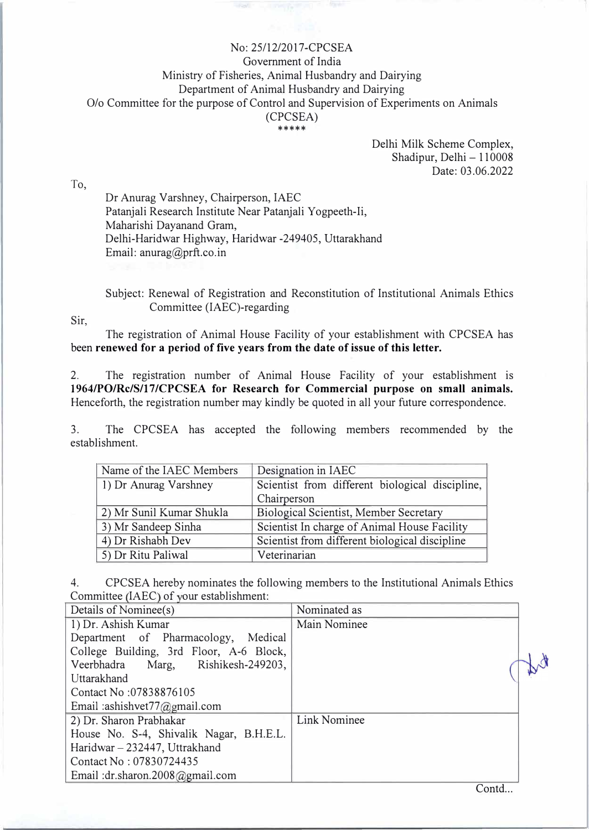## No: 25/12/2017-CPCSEA Government of India Ministry of Fisheries, Animal Husbandry and Dairying Department of Animal Husbandry and Dairying O/o Committee for the purpose of Control and Supervision of Experiments on Animals (CPCSEA) \*\*\*\*\*

Delhi Milk Scheme Complex, Shadipur, Delhi $-110008$ Date: 03.06.2022

To,

Dr Anurag Varshney, Chairperson, IAEC Patanjali Research Institute Near Patanjali Yogpeeth-Ii, Maharishi Dayanand Gram, Delhi-Haridwar Highway, Haridwar -249405, Uttarakhand Email: anurag@prft.co.in

Subject: Renewal of Registration and Reconstitution of Institutional Animals Ethics Committee (IAEC)-regarding

Sir,

The registration of Animal House Facility of your establishment with CPCSEA has been **renewed for a period of five years from the date of issue of this letter.** 

2. The registration number of Animal House Facility of your establishment is **1964/PO/Rc/S/17/CPCSEA for Research for Commercial purpose on small animals.** Henceforth, the registration number may kindly be quoted in all your future correspondence.

3. The CPCSEA has accepted the following members recommended by the establishment.

| Name of the IAEC Members | Designation in IAEC                             |
|--------------------------|-------------------------------------------------|
| 1) Dr Anurag Varshney    | Scientist from different biological discipline, |
|                          | Chairperson                                     |
| 2) Mr Sunil Kumar Shukla | <b>Biological Scientist, Member Secretary</b>   |
| 3) Mr Sandeep Sinha      | Scientist In charge of Animal House Facility    |
| 4) Dr Rishabh Dev        | Scientist from different biological discipline  |
| 5) Dr Ritu Paliwal       | Veterinarian                                    |

4. CPCSEA hereby nominates the following members to the Institutional Animals Ethics Committee (IAEC) of your establishment:

| Details of Nominee(s)                    | Nominated as |  |
|------------------------------------------|--------------|--|
| 1) Dr. Ashish Kumar                      | Main Nominee |  |
| Department of Pharmacology,<br>Medical   |              |  |
| College Building, 3rd Floor, A-6 Block,  |              |  |
| Rishikesh-249203,<br>Marg,<br>Veerbhadra |              |  |
| Uttarakhand                              |              |  |
| Contact No: 07838876105                  |              |  |
| Email: ashishvet $77$ @gmail.com         |              |  |
| 2) Dr. Sharon Prabhakar                  | Link Nominee |  |
| House No. S-4, Shivalik Nagar, B.H.E.L.  |              |  |
| Haridwar - 232447, Uttrakhand            |              |  |
| Contact No: 07830724435                  |              |  |
| Email :dr.sharon.2008@gmail.com          |              |  |

Contd...